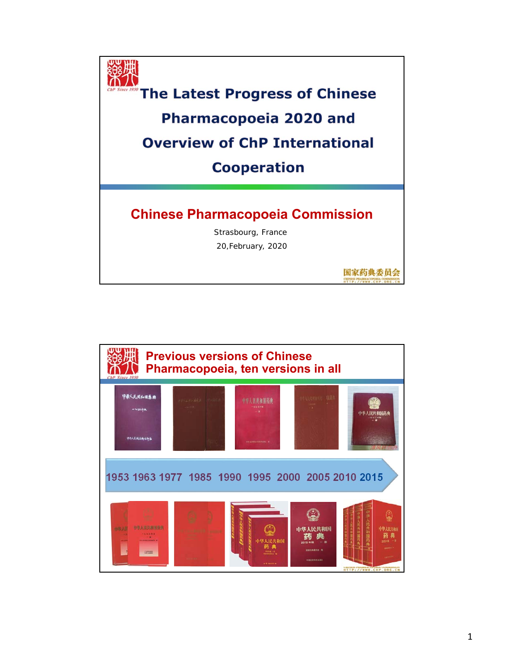

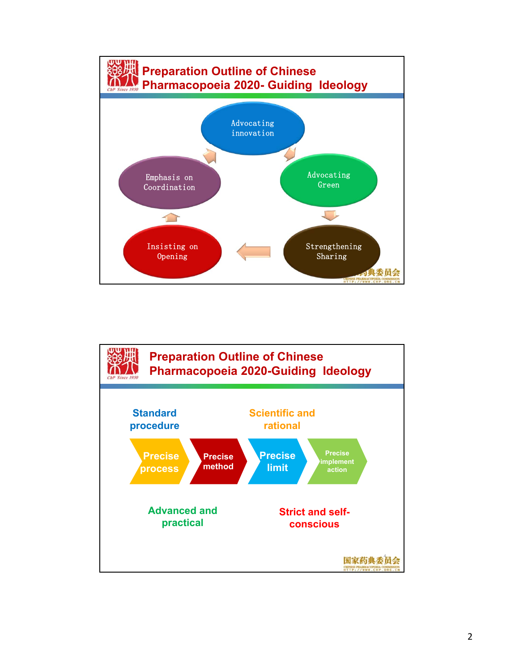

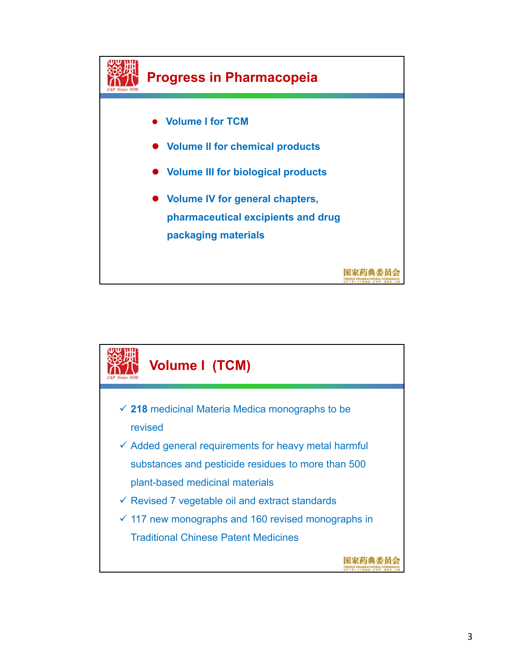

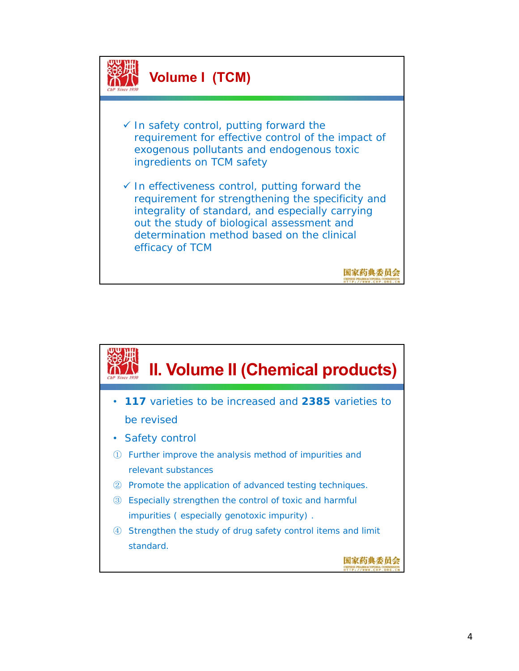

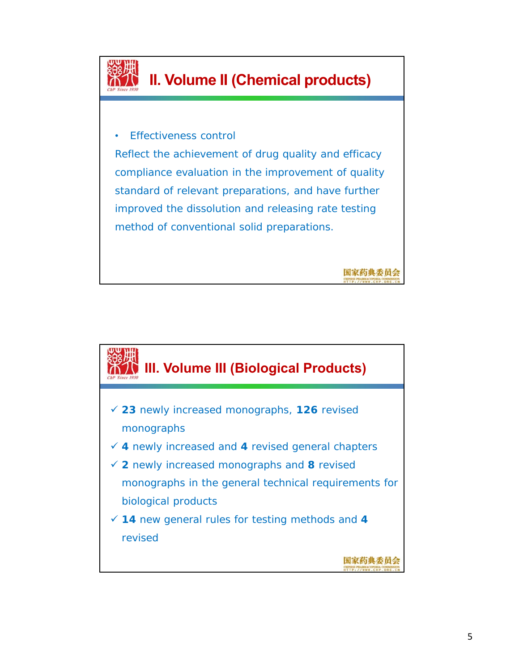

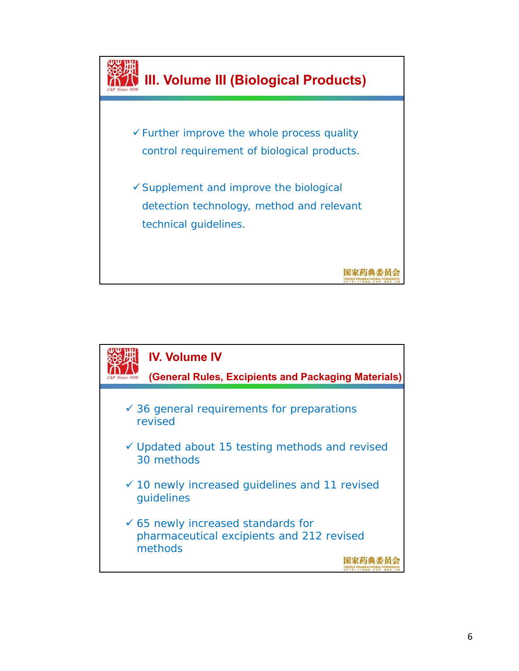

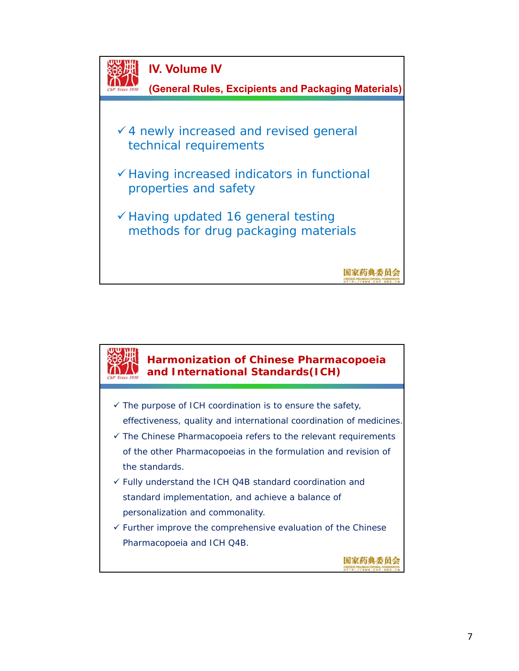

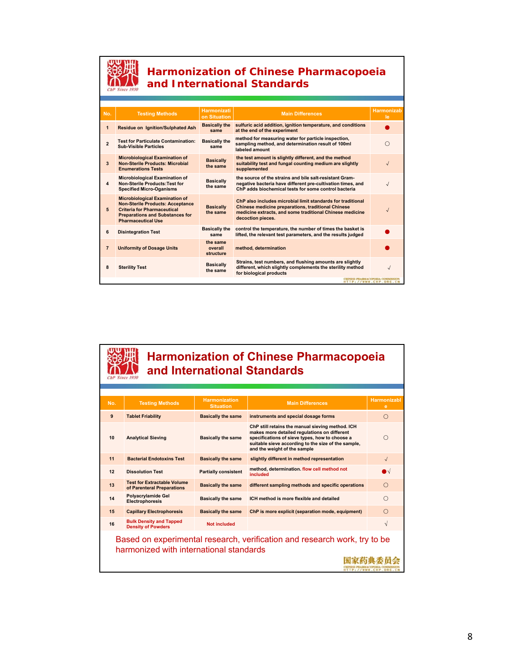

#### **Harmonization of Chinese Pharmacopoeia and International Standards**

| No.                          | <b>Testing Methods</b>                                                                                                                                                                        | <b>Harmonizati</b><br>on Situation | <b>Main Differences</b>                                                                                                                                                                                   | <b>Harmonizab</b><br>le. |  |  |
|------------------------------|-----------------------------------------------------------------------------------------------------------------------------------------------------------------------------------------------|------------------------------------|-----------------------------------------------------------------------------------------------------------------------------------------------------------------------------------------------------------|--------------------------|--|--|
| $\mathbf{1}$                 | <b>Residue on Ignition/Sulphated Ash</b>                                                                                                                                                      | <b>Basically the</b><br>same       | sulfuric acid addition, ignition temperature, and conditions<br>at the end of the experiment                                                                                                              |                          |  |  |
| $\overline{2}$               | <b>Test for Particulate Contamination:</b><br><b>Sub-Visible Particles</b>                                                                                                                    | <b>Basically the</b><br>same       | method for measuring water for particle inspection,<br>sampling method, and determination result of 100ml<br>labeled amount                                                                               |                          |  |  |
| $\overline{\mathbf{3}}$      | <b>Microbiological Examination of</b><br><b>Non-Sterile Products: Microbial</b><br><b>Enumerations Tests</b>                                                                                  | <b>Basically</b><br>the same       | the test amount is slightly different, and the method<br>suitability test and fungal counting medium are slightly<br>supplemented                                                                         | J                        |  |  |
| 4                            | <b>Microbiological Examination of</b><br><b>Non-Sterile Products: Test for</b><br><b>Specified Micro-Oganisms</b>                                                                             | <b>Basically</b><br>the same       | the source of the strains and bile salt-resistant Gram-<br>negative bacteria have different pre-cultivation times, and<br>ChP adds biochemical tests for some control bacteria                            |                          |  |  |
| 5                            | <b>Microbiological Examination of</b><br><b>Non-Sterile Products: Acceptance</b><br><b>Criteria for Pharmaceutical</b><br><b>Preparations and Substances for</b><br><b>Pharmaceutical Use</b> | <b>Basically</b><br>the same       | ChP also includes microbial limit standards for traditional<br><b>Chinese medicine preparations, traditional Chinese</b><br>medicine extracts, and some traditional Chinese medicine<br>decoction pieces. |                          |  |  |
| 6                            | <b>Disintegration Test</b>                                                                                                                                                                    | <b>Basically the</b><br>same       | control the temperature, the number of times the basket is<br>lifted, the relevant test parameters, and the results judged                                                                                |                          |  |  |
| $\overline{7}$               | <b>Uniformity of Dosage Units</b>                                                                                                                                                             | the same<br>overall<br>structure   | method, determination                                                                                                                                                                                     |                          |  |  |
| 8                            | <b>Sterility Test</b>                                                                                                                                                                         | <b>Basically</b><br>the same       | Strains, test numbers, and flushing amounts are slightly<br>different, which slightly complements the sterility method<br>for biological products                                                         |                          |  |  |
| <b>HTTP://WWW.CHP.ORG.CN</b> |                                                                                                                                                                                               |                                    |                                                                                                                                                                                                           |                          |  |  |

### **Harmonization of Chinese Pharmacopoeia and International Standards**

| No.                                                                                                                  | <b>Testing Methods</b>                                           | <b>Harmonization</b><br><b>Situation</b> | <b>Main Differences</b>                                                                                                                                                                                                                   | <b>Harmonizabl</b><br>е |  |  |
|----------------------------------------------------------------------------------------------------------------------|------------------------------------------------------------------|------------------------------------------|-------------------------------------------------------------------------------------------------------------------------------------------------------------------------------------------------------------------------------------------|-------------------------|--|--|
| 9                                                                                                                    | <b>Tablet Friability</b>                                         | <b>Basically the same</b>                | instruments and special dosage forms                                                                                                                                                                                                      | ∩                       |  |  |
| 10                                                                                                                   | <b>Analytical Sieving</b>                                        | <b>Basically the same</b>                | ChP still retains the manual sieving method. ICH<br>makes more detailed regulations on different<br>specifications of sieve types, how to choose a<br>suitable sieve according to the size of the sample,<br>and the weight of the sample | ∩                       |  |  |
| 11                                                                                                                   | <b>Bacterial Endotoxins Test</b>                                 | <b>Basically the same</b>                | slightly different in method representation                                                                                                                                                                                               | $\sqrt{ }$              |  |  |
| 12                                                                                                                   | <b>Dissolution Test</b>                                          | <b>Partially consistent</b>              | method, determination. flow cell method not<br>included                                                                                                                                                                                   | ∩√                      |  |  |
| 13                                                                                                                   | <b>Test for Extractable Volume</b><br>of Parenteral Preparations | <b>Basically the same</b>                | different sampling methods and specific operations                                                                                                                                                                                        | $\bigcap$               |  |  |
| 14                                                                                                                   | Polyacrylamide Gel<br>Electrophoresis                            | <b>Basically the same</b>                | ICH method is more flexible and detailed                                                                                                                                                                                                  | ∩                       |  |  |
| 15                                                                                                                   | <b>Capillary Electrophoresis</b>                                 | <b>Basically the same</b>                | ChP is more explicit (separation mode, equipment)                                                                                                                                                                                         | $\bigcap$               |  |  |
| 16                                                                                                                   | <b>Bulk Density and Tapped</b><br><b>Density of Powders</b>      | <b>Not included</b>                      |                                                                                                                                                                                                                                           | V                       |  |  |
| Based on experimental research, verification and research work, try to be<br>harmonized with international standards |                                                                  |                                          |                                                                                                                                                                                                                                           |                         |  |  |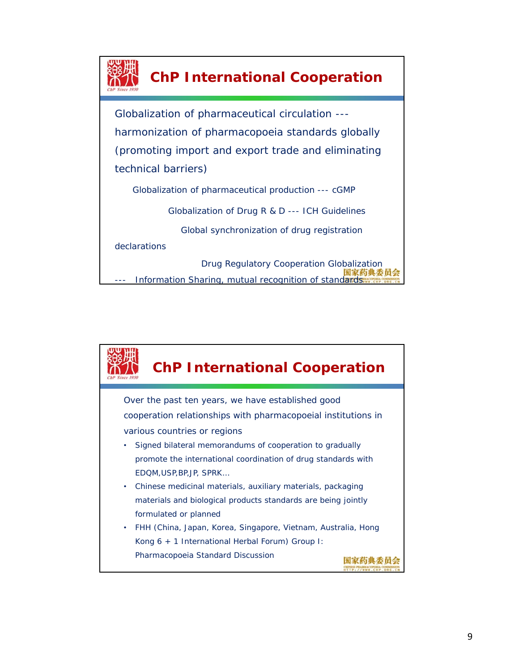

### **ChP International Cooperation**

Globalization of pharmaceutical circulation -- harmonization of pharmacopoeia standards globally (promoting import and export trade and eliminating technical barriers)

Globalization of pharmaceutical production --- cGMP

Globalization of Drug R & D --- ICH Guidelines

Global synchronization of drug registration

declarations

Drug Regulatory Cooperation Globalization<br>国家药典委员会 Information Sharing, mutual recognition of standards

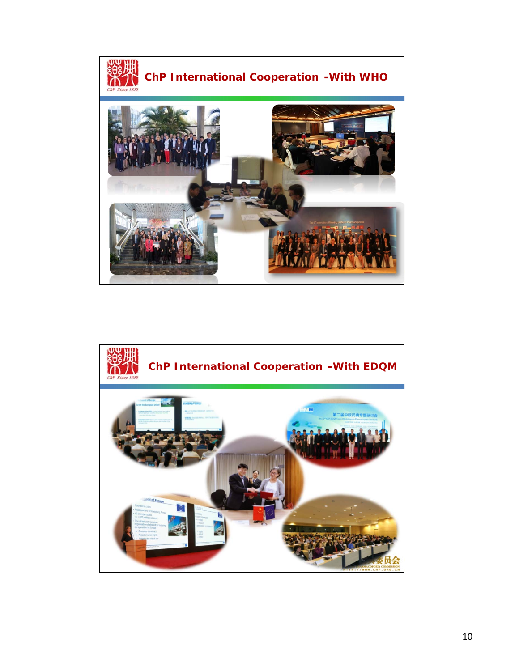

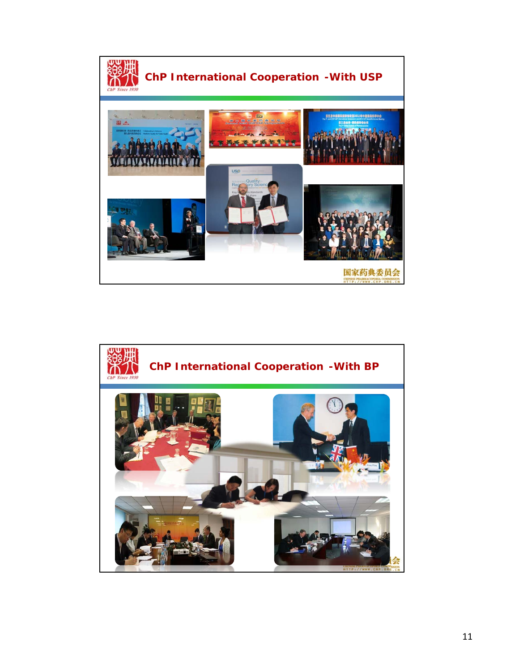

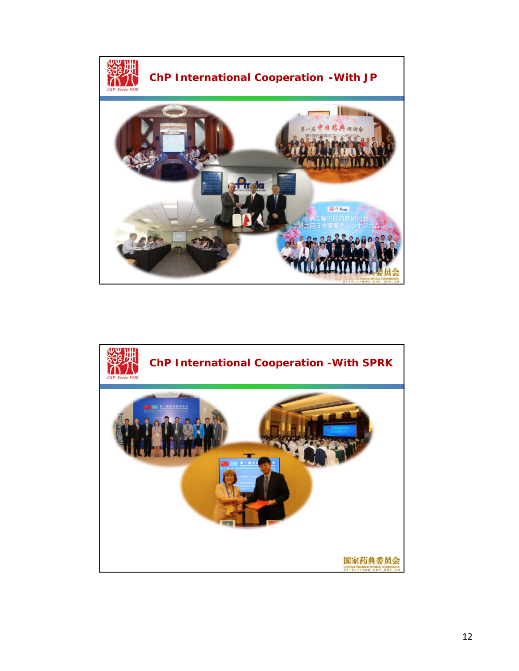

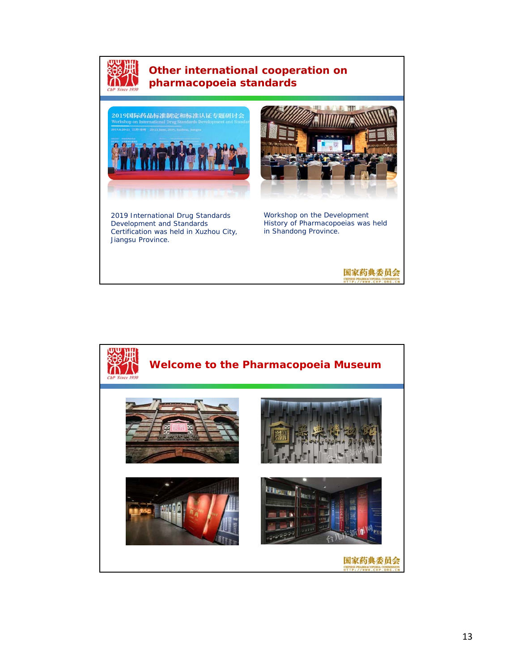